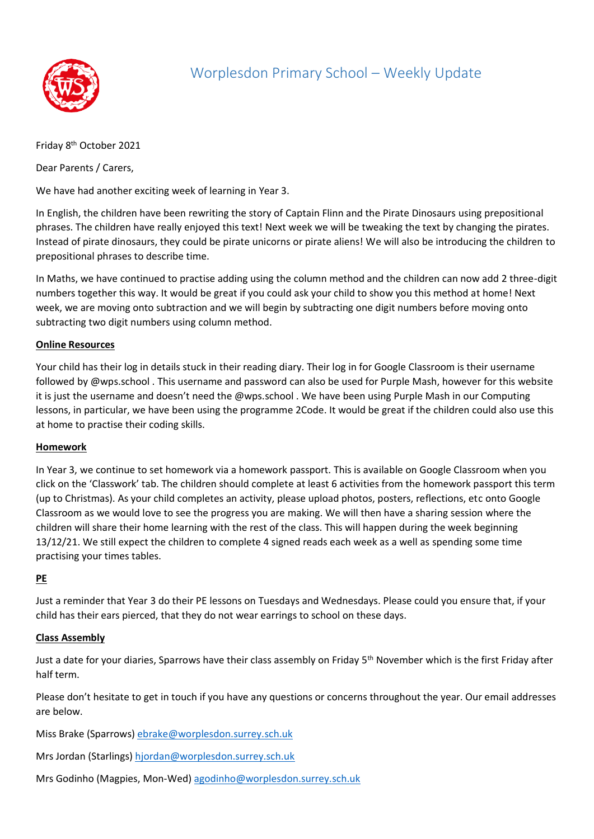

# Worplesdon Primary School – Weekly Update

Friday 8<sup>th</sup> October 2021

Dear Parents / Carers,

We have had another exciting week of learning in Year 3.

In English, the children have been rewriting the story of Captain Flinn and the Pirate Dinosaurs using prepositional phrases. The children have really enjoyed this text! Next week we will be tweaking the text by changing the pirates. Instead of pirate dinosaurs, they could be pirate unicorns or pirate aliens! We will also be introducing the children to prepositional phrases to describe time.

In Maths, we have continued to practise adding using the column method and the children can now add 2 three-digit numbers together this way. It would be great if you could ask your child to show you this method at home! Next week, we are moving onto subtraction and we will begin by subtracting one digit numbers before moving onto subtracting two digit numbers using column method.

## **Online Resources**

Your child has their log in details stuck in their reading diary. Their log in for Google Classroom is their username followed by @wps.school . This username and password can also be used for Purple Mash, however for this website it is just the username and doesn't need the @wps.school . We have been using Purple Mash in our Computing lessons, in particular, we have been using the programme 2Code. It would be great if the children could also use this at home to practise their coding skills.

## **Homework**

In Year 3, we continue to set homework via a homework passport. This is available on Google Classroom when you click on the 'Classwork' tab. The children should complete at least 6 activities from the homework passport this term (up to Christmas). As your child completes an activity, please upload photos, posters, reflections, etc onto Google Classroom as we would love to see the progress you are making. We will then have a sharing session where the children will share their home learning with the rest of the class. This will happen during the week beginning 13/12/21. We still expect the children to complete 4 signed reads each week as a well as spending some time practising your times tables.

## **PE**

Just a reminder that Year 3 do their PE lessons on Tuesdays and Wednesdays. Please could you ensure that, if your child has their ears pierced, that they do not wear earrings to school on these days.

## **Class Assembly**

Just a date for your diaries, Sparrows have their class assembly on Friday 5<sup>th</sup> November which is the first Friday after half term.

Please don't hesitate to get in touch if you have any questions or concerns throughout the year. Our email addresses are below.

Miss Brake (Sparrows) [ebrake@worplesdon.surrey.sch.uk](mailto:ebrake@worplesdon.surrey.sch.uk)

Mrs Jordan (Starlings) [hjordan@worplesdon.surrey.sch.uk](mailto:hjordan@worplesdon.surrey.sch.uk)

Mrs Godinho (Magpies, Mon-Wed[\) agodinho@worplesdon.surrey.sch.uk](mailto:agodinho@worplesdon.surrey.sch.uk)